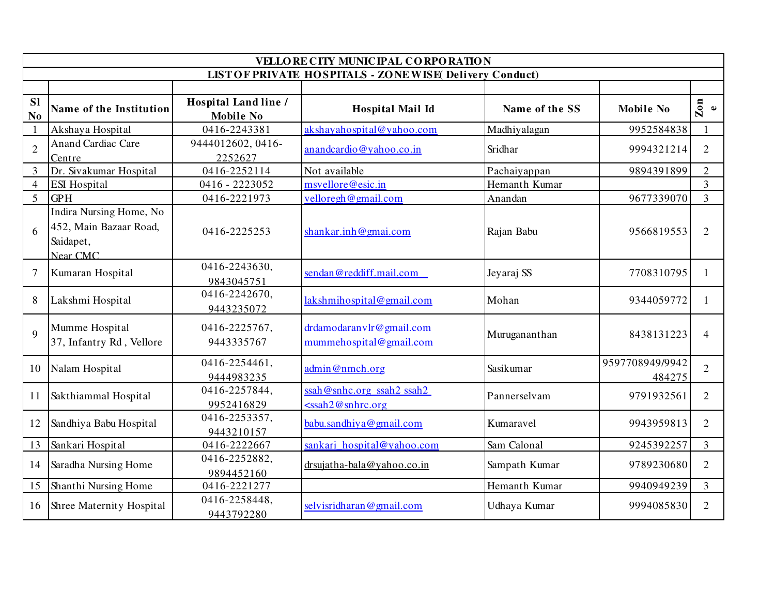| VELLORE CITY MUNICIPAL CORPORATION                             |                                                                            |                                          |                                                       |                |                           |                             |  |  |  |  |  |  |
|----------------------------------------------------------------|----------------------------------------------------------------------------|------------------------------------------|-------------------------------------------------------|----------------|---------------------------|-----------------------------|--|--|--|--|--|--|
| <b>LIST OF PRIVATE HOSPITALS - ZONE WISE Delivery Conduct)</b> |                                                                            |                                          |                                                       |                |                           |                             |  |  |  |  |  |  |
|                                                                |                                                                            |                                          |                                                       |                |                           |                             |  |  |  |  |  |  |
| <b>Sl</b><br>N <sub>0</sub>                                    | Name of the Institution                                                    | Hospital Land line /<br><b>Mobile No</b> | <b>Hospital Mail Id</b>                               | Name of the SS | <b>Mobile No</b>          | $\sum_{e}$                  |  |  |  |  |  |  |
| $\mathbf{1}$                                                   | Akshaya Hospital                                                           | 0416-2243381                             | akshayahospital@yahoo.com                             | Madhiyalagan   | 9952584838                |                             |  |  |  |  |  |  |
| $\overline{2}$                                                 | <b>Anand Cardiac Care</b><br>Centre                                        | 9444012602, 0416-<br>2252627             | anandcardio@yahoo.co.in                               | Sridhar        | 9994321214                | $\overline{2}$              |  |  |  |  |  |  |
| $\overline{3}$                                                 | Dr. Sivakumar Hospital                                                     | 0416-2252114                             | Not available                                         | Pachaiyappan   | 9894391899                | $\overline{2}$              |  |  |  |  |  |  |
| $\overline{4}$                                                 | <b>ESI</b> Hospital                                                        | 0416 - 2223052                           | msvellore@esic.in                                     | Hemanth Kumar  |                           | 3                           |  |  |  |  |  |  |
| 5                                                              | <b>GPH</b>                                                                 | 0416-2221973                             | velloregh@gmail.com                                   | Anandan        | 9677339070                | $\overline{3}$              |  |  |  |  |  |  |
| 6                                                              | Indira Nursing Home, No<br>452, Main Bazaar Road,<br>Saidapet,<br>Near CMC | 0416-2225253                             | shankar.inh@gmai.com                                  | Rajan Babu     | 9566819553                | $\mathcal{D}_{\mathcal{L}}$ |  |  |  |  |  |  |
| $\overline{7}$                                                 | Kumaran Hospital                                                           | 0416-2243630,<br>9843045751              | sendan@reddiff.mail.com                               | Jeyaraj SS     | 7708310795                | 1                           |  |  |  |  |  |  |
| 8                                                              | Lakshmi Hospital                                                           | 0416-2242670,<br>9443235072              | lakshmihospital@gmail.com                             | Mohan          | 9344059772                |                             |  |  |  |  |  |  |
| $\mathbf Q$                                                    | Mumme Hospital<br>37, Infantry Rd, Vellore                                 | 0416-2225767,<br>9443335767              | drdamodaranvlr@gmail.com<br>mummehospital@gmail.com   | Murugananthan  | 8438131223                | 4                           |  |  |  |  |  |  |
| 10                                                             | Nalam Hospital                                                             | 0416-2254461,<br>9444983235              | admin@nmch.org                                        | Sasikumar      | 9597708949/9942<br>484275 | $\overline{2}$              |  |  |  |  |  |  |
| 11                                                             | Sakthiammal Hospital                                                       | 0416-2257844,<br>9952416829              | $ssah@snhc.org$ ssah2 ssah2<br>$\leq$ ssah2@snhrc.org | Pannerselvam   | 9791932561                | $\overline{2}$              |  |  |  |  |  |  |
| 12                                                             | Sandhiya Babu Hospital                                                     | 0416-2253357,<br>9443210157              | babu.sandhiya@gmail.com                               | Kumaravel      | 9943959813                | $\overline{2}$              |  |  |  |  |  |  |
| 13                                                             | Sankari Hospital                                                           | 0416-2222667                             | sankari hospital@yahoo.com                            | Sam Calonal    | 9245392257                | $\overline{3}$              |  |  |  |  |  |  |
| 14                                                             | Saradha Nursing Home                                                       | 0416-2252882,<br>9894452160              | drsujatha-bala@yahoo.co.in                            | Sampath Kumar  | 9789230680                | $\overline{2}$              |  |  |  |  |  |  |
| 15                                                             | Shanthi Nursing Home                                                       | 0416-2221277                             |                                                       | Hemanth Kumar  | 9940949239                | $\overline{3}$              |  |  |  |  |  |  |
| 16                                                             | Shree Maternity Hospital                                                   | 0416-2258448,<br>9443792280              | selvisridharan@gmail.com                              | Udhaya Kumar   | 9994085830                | $\overline{2}$              |  |  |  |  |  |  |